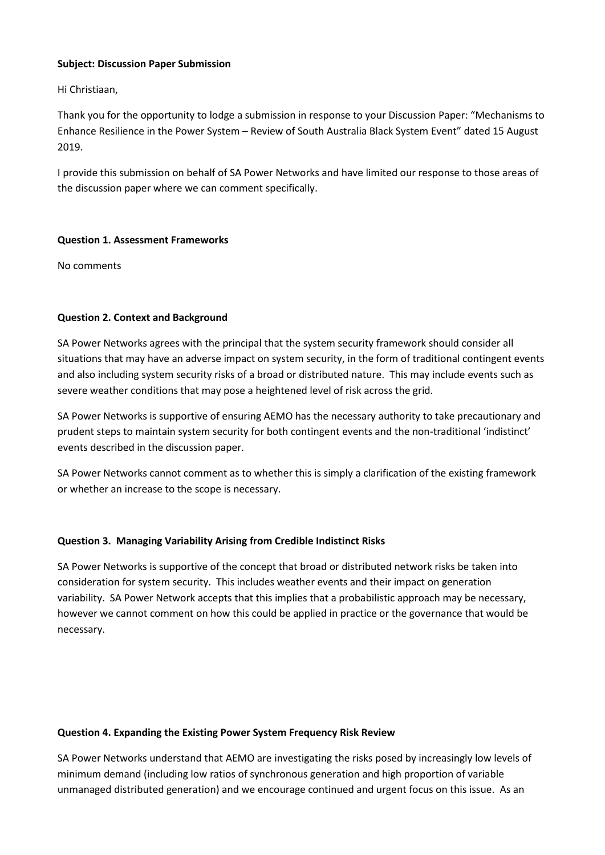#### **Subject: Discussion Paper Submission**

Hi Christiaan,

Thank you for the opportunity to lodge a submission in response to your Discussion Paper: "Mechanisms to Enhance Resilience in the Power System – Review of South Australia Black System Event" dated 15 August 2019.

I provide this submission on behalf of SA Power Networks and have limited our response to those areas of the discussion paper where we can comment specifically.

### **Question 1. Assessment Frameworks**

No comments

# **Question 2. Context and Background**

SA Power Networks agrees with the principal that the system security framework should consider all situations that may have an adverse impact on system security, in the form of traditional contingent events and also including system security risks of a broad or distributed nature. This may include events such as severe weather conditions that may pose a heightened level of risk across the grid.

SA Power Networks is supportive of ensuring AEMO has the necessary authority to take precautionary and prudent steps to maintain system security for both contingent events and the non-traditional 'indistinct' events described in the discussion paper.

SA Power Networks cannot comment as to whether this is simply a clarification of the existing framework or whether an increase to the scope is necessary.

# **Question 3. Managing Variability Arising from Credible Indistinct Risks**

SA Power Networks is supportive of the concept that broad or distributed network risks be taken into consideration for system security. This includes weather events and their impact on generation variability. SA Power Network accepts that this implies that a probabilistic approach may be necessary, however we cannot comment on how this could be applied in practice or the governance that would be necessary.

#### **Question 4. Expanding the Existing Power System Frequency Risk Review**

SA Power Networks understand that AEMO are investigating the risks posed by increasingly low levels of minimum demand (including low ratios of synchronous generation and high proportion of variable unmanaged distributed generation) and we encourage continued and urgent focus on this issue. As an